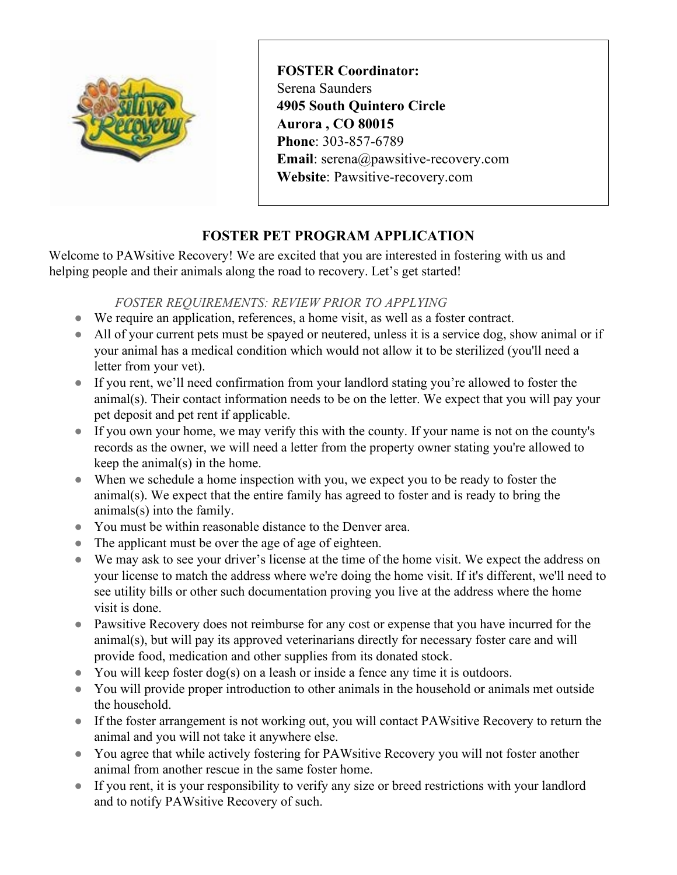

**FOSTER Coordinator:** Serena Saunders **4905 South Quintero Circle Aurora , CO 80015 Phone**: 303-857-6789 **Email**: serena@pawsitive-recovery.com **Website**: Pawsitive-recovery.com

## **FOSTER PET PROGRAM APPLICATION**

Welcome to PAWsitive Recovery! We are excited that you are interested in fostering with us and helping people and their animals along the road to recovery. Let's get started!

### *FOSTER REQUIREMENTS: REVIEW PRIOR TO APPLYING*

- We require an application, references, a home visit, as well as a foster contract.
- All of your current pets must be spayed or neutered, unless it is a service dog, show animal or if your animal has a medical condition which would not allow it to be sterilized (you'll need a letter from your vet).
- If you rent, we'll need confirmation from your landlord stating you're allowed to foster the animal(s). Their contact information needs to be on the letter. We expect that you will pay your pet deposit and pet rent if applicable.
- If you own your home, we may verify this with the county. If your name is not on the county's records as the owner, we will need a letter from the property owner stating you're allowed to keep the animal(s) in the home.
- When we schedule a home inspection with you, we expect you to be ready to foster the animal(s). We expect that the entire family has agreed to foster and is ready to bring the animals(s) into the family.
- You must be within reasonable distance to the Denver area.
- The applicant must be over the age of age of eighteen.
- We may ask to see your driver's license at the time of the home visit. We expect the address on your license to match the address where we're doing the home visit. If it's different, we'll need to see utility bills or other such documentation proving you live at the address where the home visit is done.
- Pawsitive Recovery does not reimburse for any cost or expense that you have incurred for the animal(s), but will pay its approved veterinarians directly for necessary foster care and will provide food, medication and other supplies from its donated stock.
- You will keep foster dog(s) on a leash or inside a fence any time it is outdoors.
- You will provide proper introduction to other animals in the household or animals met outside the household.
- If the foster arrangement is not working out, you will contact PAWsitive Recovery to return the animal and you will not take it anywhere else.
- You agree that while actively fostering for PAWsitive Recovery you will not foster another animal from another rescue in the same foster home.
- If you rent, it is your responsibility to verify any size or breed restrictions with your landlord and to notify PAWsitive Recovery of such.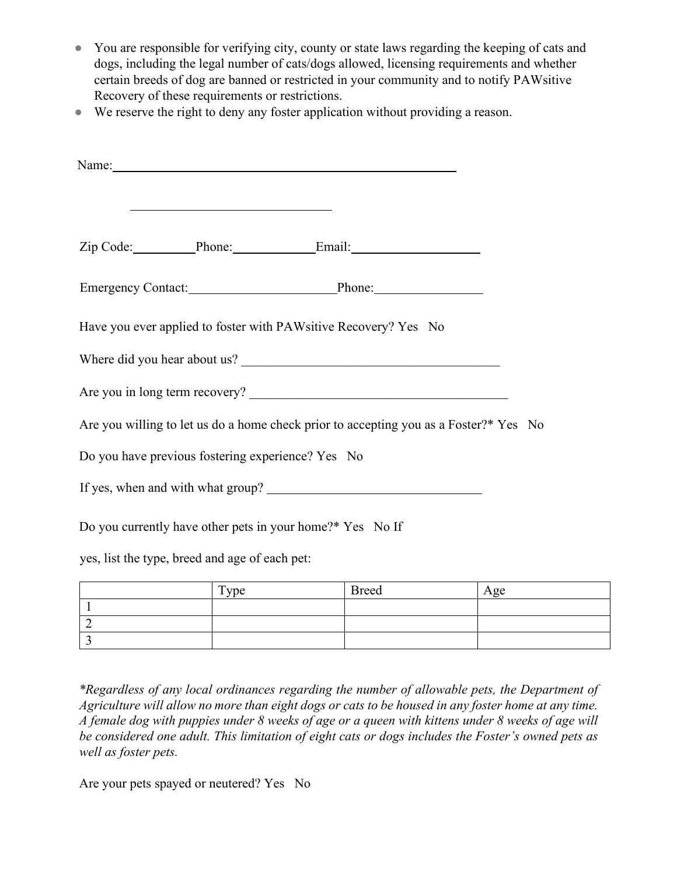- You are responsible for verifying city, county or state laws regarding the keeping of cats and dogs, including the legal number of cats/dogs allowed, licensing requirements and whether certain breeds of dog are banned or restricted in your community and to notify PAWsitive Recovery of these requirements or restrictions.
- We reserve the right to deny any foster application without providing a reason.

|                                                   | Zip Code: Phone: Email: Email:                                                        |
|---------------------------------------------------|---------------------------------------------------------------------------------------|
|                                                   | Emergency Contact: Phone: Phone:                                                      |
|                                                   | Have you ever applied to foster with PAW sitive Recovery? Yes No                      |
|                                                   |                                                                                       |
|                                                   |                                                                                       |
|                                                   | Are you willing to let us do a home check prior to accepting you as a Foster?* Yes No |
| Do you have previous fostering experience? Yes No |                                                                                       |
|                                                   | If yes, when and with what group?                                                     |
|                                                   | Do you currently have other pets in your home?* Yes No If                             |
| yes, list the type, breed and age of each pet:    |                                                                                       |

|   | Type | <b>Breed</b> | Age |
|---|------|--------------|-----|
|   |      |              |     |
| ∸ |      |              |     |
| - |      |              |     |

*\*Regardless of any local ordinances regarding the number of allowable pets, the Department of Agriculture will allow no more than eight dogs or cats to be housed in any foster home at any time. A female dog with puppies under 8 weeks of age or a queen with kittens under 8 weeks of age will be considered one adult. This limitation of eight cats or dogs includes the Foster's owned pets as well as foster pets.* 

Are your pets spayed or neutered? Yes No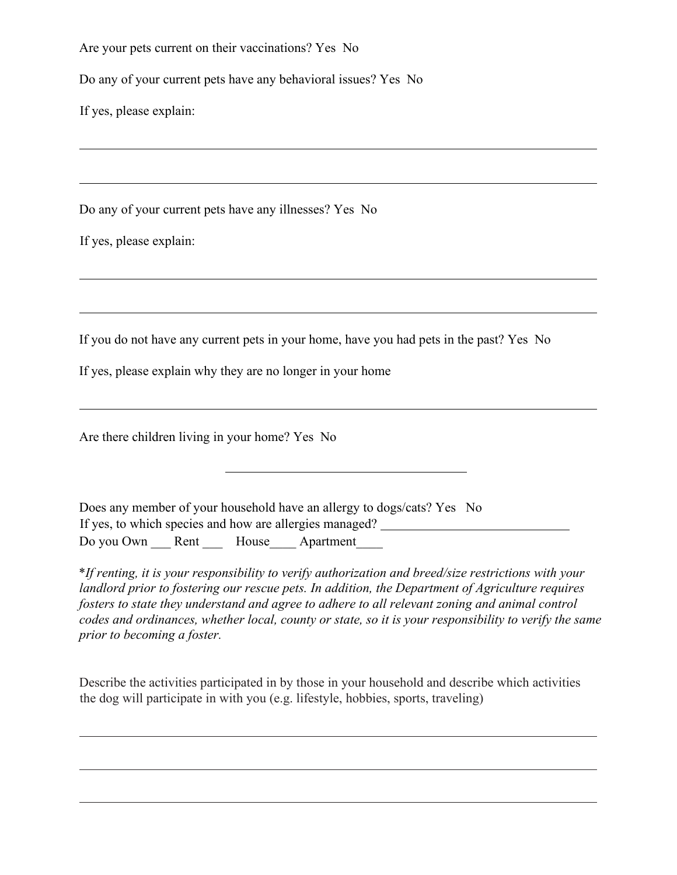Are your pets current on their vaccinations? Yes No

Do any of your current pets have any behavioral issues? Yes No

If yes, please explain:

Do any of your current pets have any illnesses? Yes No

If yes, please explain:

If you do not have any current pets in your home, have you had pets in the past? Yes No

If yes, please explain why they are no longer in your home

Are there children living in your home? Yes No

Does any member of your household have an allergy to dogs/cats? Yes No If yes, to which species and how are allergies managed? Do you Own Rent House Apartment

\**If renting, it is your responsibility to verify authorization and breed/size restrictions with your landlord prior to fostering our rescue pets. In addition, the Department of Agriculture requires fosters to state they understand and agree to adhere to all relevant zoning and animal control codes and ordinances, whether local, county or state, so it is your responsibility to verify the same prior to becoming a foster.* 

Describe the activities participated in by those in your household and describe which activities the dog will participate in with you (e.g. lifestyle, hobbies, sports, traveling)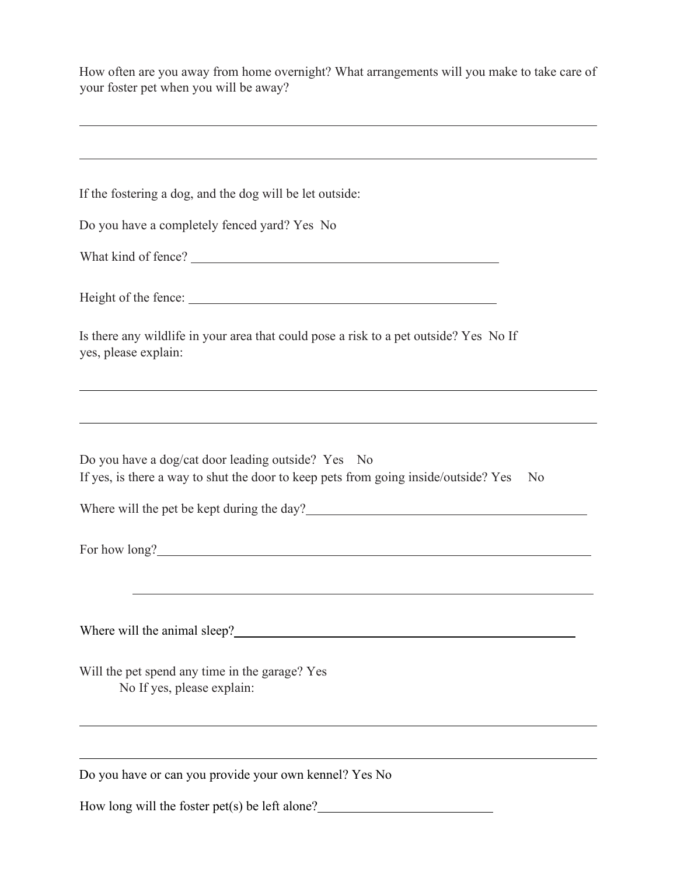| How often are you away from home overnight? What arrangements will you make to take care of |  |  |
|---------------------------------------------------------------------------------------------|--|--|
| your foster pet when you will be away?                                                      |  |  |

| If the fostering a dog, and the dog will be let outside:                                                                                                                                             |                |
|------------------------------------------------------------------------------------------------------------------------------------------------------------------------------------------------------|----------------|
| Do you have a completely fenced yard? Yes No                                                                                                                                                         |                |
|                                                                                                                                                                                                      |                |
|                                                                                                                                                                                                      |                |
| Is there any wildlife in your area that could pose a risk to a pet outside? Yes No If<br>yes, please explain:                                                                                        |                |
| and the control of the control of the control of the control of the control of the control of the control of the<br>,我们也不会有什么。""我们的人,我们也不会有什么?""我们的人,我们也不会有什么?""我们的人,我们也不会有什么?""我们的人,我们也不会有什么?""我们的人 |                |
| Do you have a dog/cat door leading outside? Yes No<br>If yes, is there a way to shut the door to keep pets from going inside/outside? Yes                                                            | N <sub>o</sub> |
|                                                                                                                                                                                                      |                |
| Where will the animal sleep?<br><u> 1980 - Andrea Station Barbara, politik eta politik eta politik eta politik eta politik eta politik eta politi</u>                                                |                |
| Will the pet spend any time in the garage? Yes<br>No If yes, please explain:                                                                                                                         |                |
| Do you have or can you provide your own kennel? Yes No                                                                                                                                               |                |
| How long will the foster $pet(s)$ be left alone?                                                                                                                                                     |                |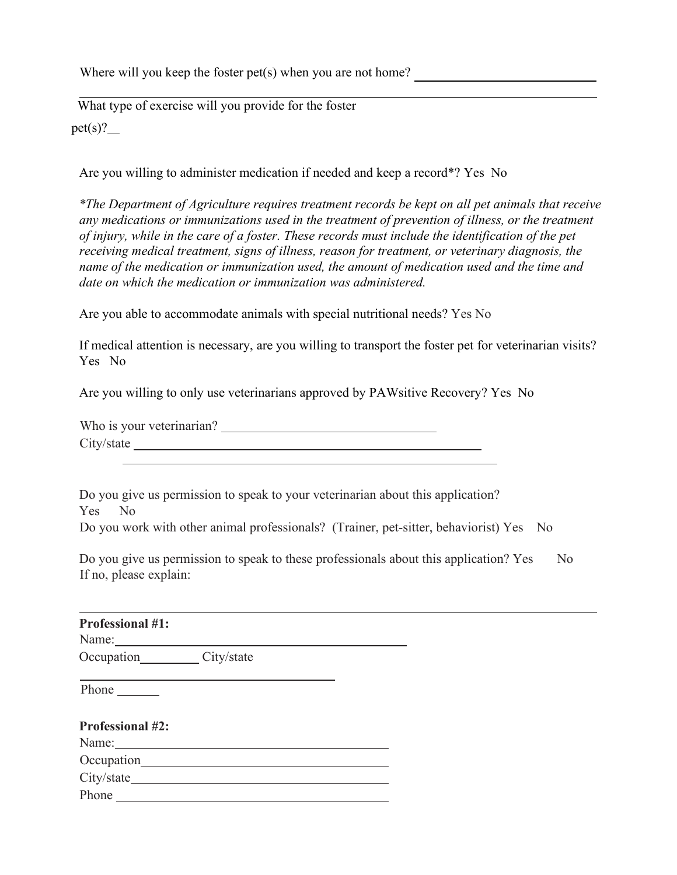Where will you keep the foster pet(s) when you are not home?

What type of exercise will you provide for the foster pet(s)?

Are you willing to administer medication if needed and keep a record\*? Yes No

*\*The Department of Agriculture requires treatment records be kept on all pet animals that receive any medications or immunizations used in the treatment of prevention of illness, or the treatment of injury, while in the care of a foster. These records must include the identification of the pet receiving medical treatment, signs of illness, reason for treatment, or veterinary diagnosis, the name of the medication or immunization used, the amount of medication used and the time and date on which the medication or immunization was administered.* 

Are you able to accommodate animals with special nutritional needs? Yes No

If medical attention is necessary, are you willing to transport the foster pet for veterinarian visits? Yes No

Are you willing to only use veterinarians approved by PAWsitive Recovery? Yes No

| Who is your veterinarian? |  |
|---------------------------|--|
| City/state                |  |

Do you give us permission to speak to your veterinarian about this application? Yes No

Do you work with other animal professionals? (Trainer, pet-sitter, behaviorist) Yes No

Do you give us permission to speak to these professionals about this application? Yes No If no, please explain:

| <b>Professional #1:</b> |  |
|-------------------------|--|
| Name:                   |  |
| Occupation City/state   |  |
|                         |  |
| <b>Professional #2:</b> |  |
|                         |  |
| Occupation________      |  |
|                         |  |
| Phone                   |  |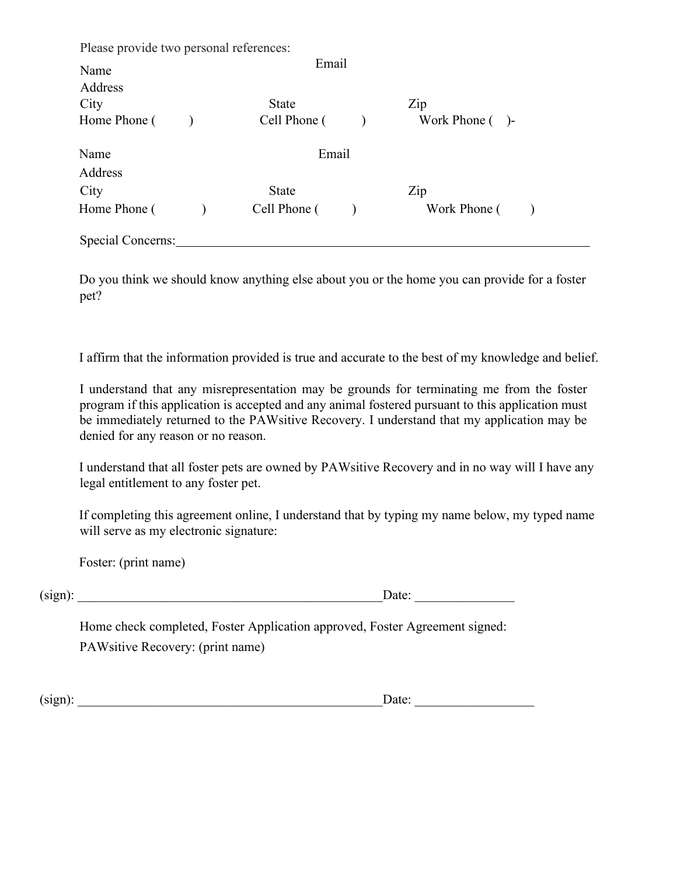Please provide two personal references:

| Name<br>Address   | Email        |                |  |
|-------------------|--------------|----------------|--|
| City              | <b>State</b> | Zip            |  |
| Home Phone (      | Cell Phone ( | Work Phone ()- |  |
| Name<br>Address   | Email        |                |  |
| City              | <b>State</b> | Zip            |  |
| Home Phone (      | Cell Phone ( | Work Phone (   |  |
| Special Concerns: |              |                |  |

Do you think we should know anything else about you or the home you can provide for a foster pet?

I affirm that the information provided is true and accurate to the best of my knowledge and belief.

I understand that any misrepresentation may be grounds for terminating me from the foster program if this application is accepted and any animal fostered pursuant to this application must be immediately returned to the PAWsitive Recovery. I understand that my application may be denied for any reason or no reason.

I understand that all foster pets are owned by PAWsitive Recovery and in no way will I have any legal entitlement to any foster pet.

If completing this agreement online, I understand that by typing my name below, my typed name will serve as my electronic signature:

Foster: (print name)

(sign): \_\_\_\_\_\_\_\_\_\_\_\_\_\_\_\_\_\_\_\_\_\_\_\_\_\_\_\_\_\_\_\_\_\_\_\_\_\_\_\_\_\_\_\_\_\_Date: \_\_\_\_\_\_\_\_\_\_\_\_\_\_\_

Home check completed, Foster Application approved, Foster Agreement signed: PAWsitive Recovery: (print name)

 $(gign):$  Date: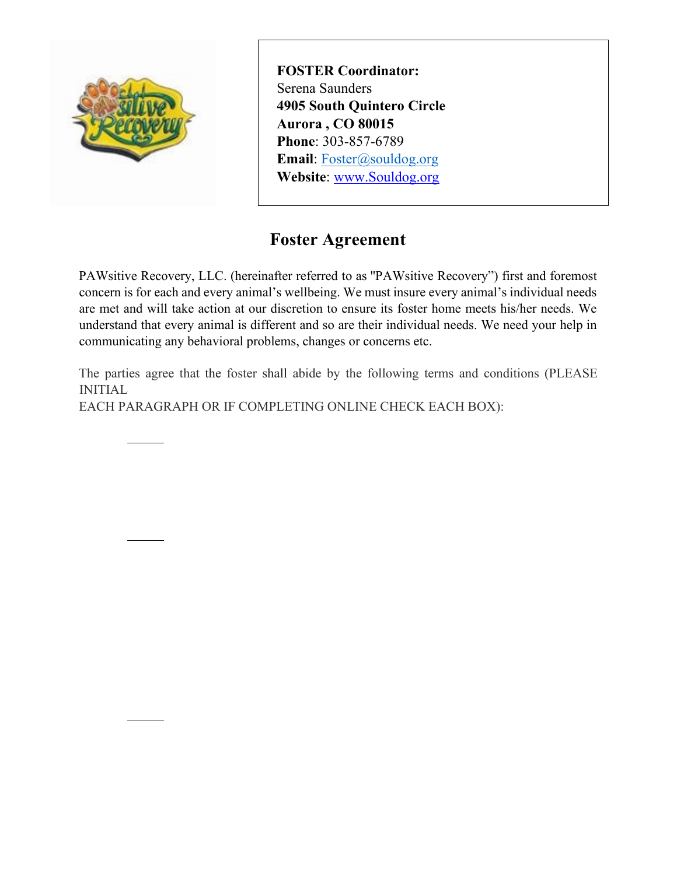

**FOSTER Coordinator:**  Serena Saunders **4905 South Quintero Circle Aurora , CO 80015 Phone**: 303-857-6789 **Email**: [Foster@souldog.org](mailto:Foster@souldog.org)  **Website**: [www.Souldog.org](http://www.souldog.org/)

# **Foster Agreement**

PAWsitive Recovery, LLC. (hereinafter referred to as ''PAWsitive Recovery") first and foremost concern is for each and every animal's wellbeing. We must insure every animal's individual needs are met and will take action at our discretion to ensure its foster home meets his/her needs. We understand that every animal is different and so are their individual needs. We need your help in communicating any behavioral problems, changes or concerns etc.

The parties agree that the foster shall abide by the following terms and conditions (PLEASE INITIAL

EACH PARAGRAPH OR IF COMPLETING ONLINE CHECK EACH BOX):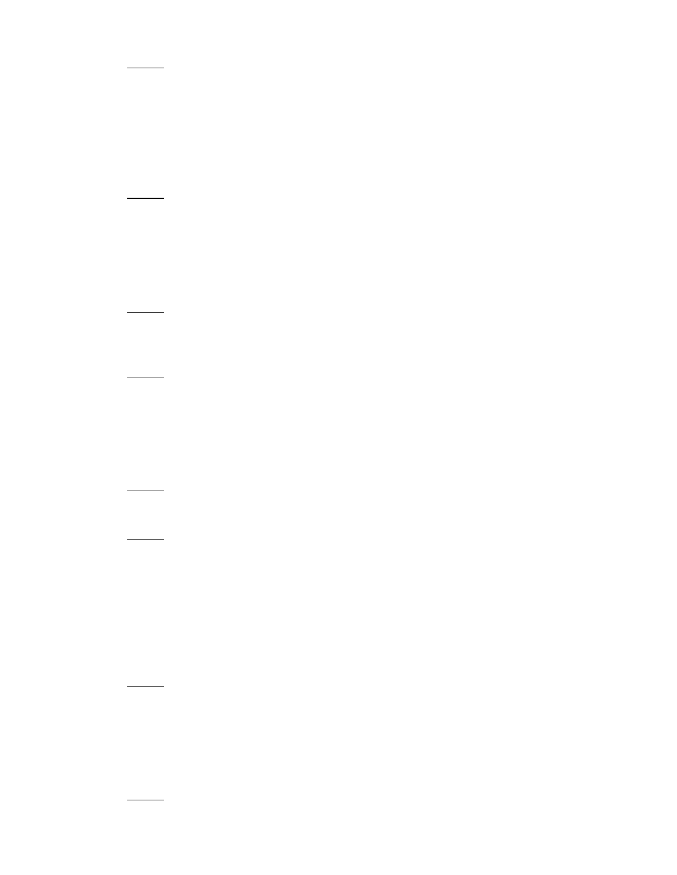$\overline{\phantom{a}}$  $\sim$  $\overline{\phantom{0}}$  $\overline{\phantom{a}}$  $\frac{1}{\sqrt{2}}$  $\overline{\phantom{0}}$  $\frac{1}{2}$  $\frac{1}{\sqrt{2\pi}}\int_{0}^{\pi}\frac{1}{\sqrt{2\pi}}\left( \frac{1}{\sqrt{2\pi}}\right) \frac{d\mu}{d\mu}d\mu d\nu$  $\overline{\phantom{0}}$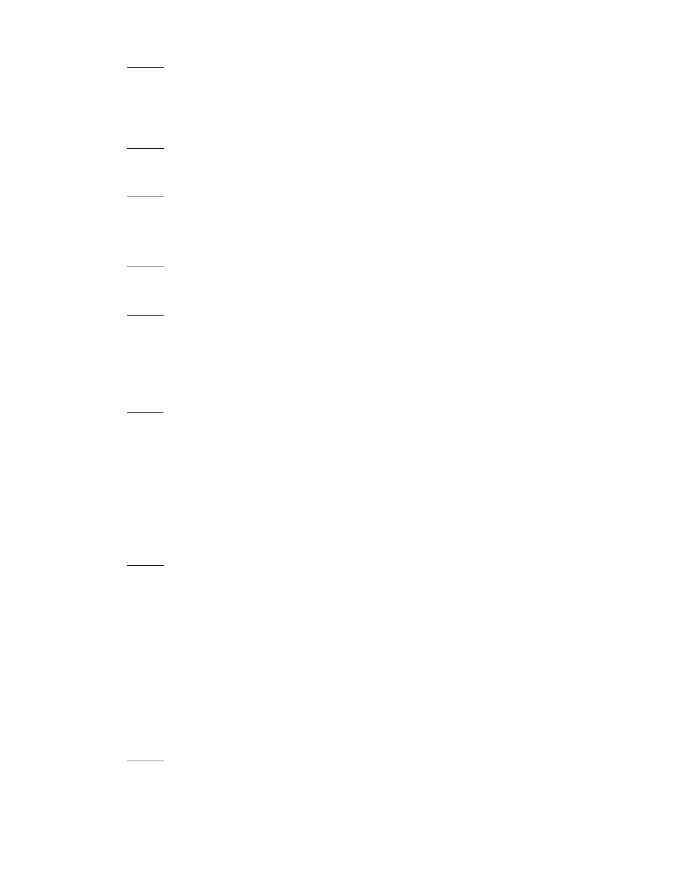4  $\frac{1}{\sqrt{1-\frac{1}{2}}\left(1-\frac{1}{2}\right)}$  $\overline{\phantom{a}}$  $\frac{1}{\sqrt{2}}$  $\frac{1}{2} \left( \frac{1}{2} \right) \left( \frac{1}{2} \right) \left( \frac{1}{2} \right) \left( \frac{1}{2} \right) \left( \frac{1}{2} \right) \left( \frac{1}{2} \right) \left( \frac{1}{2} \right) \left( \frac{1}{2} \right) \left( \frac{1}{2} \right) \left( \frac{1}{2} \right) \left( \frac{1}{2} \right) \left( \frac{1}{2} \right) \left( \frac{1}{2} \right) \left( \frac{1}{2} \right) \left( \frac{1}{2} \right) \left( \frac{1}{2} \right) \left( \frac$  $\frac{1}{\sqrt{1-\frac{1}{2}}}\left( \frac{1}{\sqrt{1-\frac{1}{2}}}\right) ^{2}$  $\frac{1}{\sqrt{2\pi}}\left( \frac{1}{\sqrt{2\pi}}\right) \left( \frac{1}{\sqrt{2\pi}}\right) \left( \frac{1}{\sqrt{2\pi}}\right) \left( \frac{1}{\sqrt{2\pi}}\right) \left( \frac{1}{\sqrt{2\pi}}\right) \left( \frac{1}{\sqrt{2\pi}}\right) \left( \frac{1}{\sqrt{2\pi}}\right) \left( \frac{1}{\sqrt{2\pi}}\right) \left( \frac{1}{\sqrt{2\pi}}\right) \left( \frac{1}{\sqrt{2\pi}}\right) \left( \frac{1}{\sqrt{2\pi}}\right) \left( \frac{1}{\sqrt$  $\frac{1}{2}$  $\overline{\phantom{0}}$  $\overline{\phantom{a}}$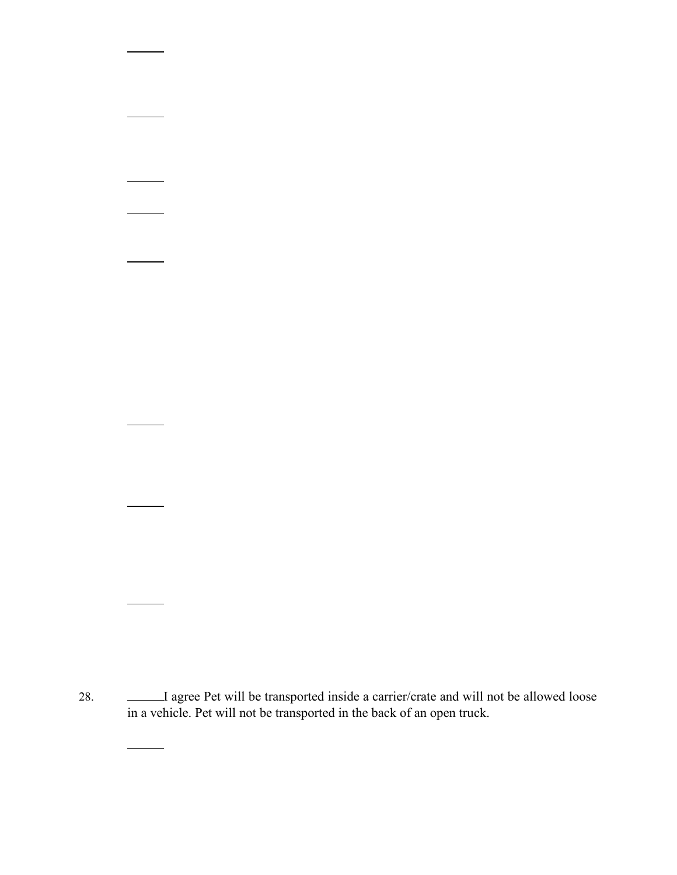<sup>28.</sup> I agree Pet will be transported inside a carrier/crate and will not be allowed loose in a vehicle. Pet will not be transported in the back of an open truck.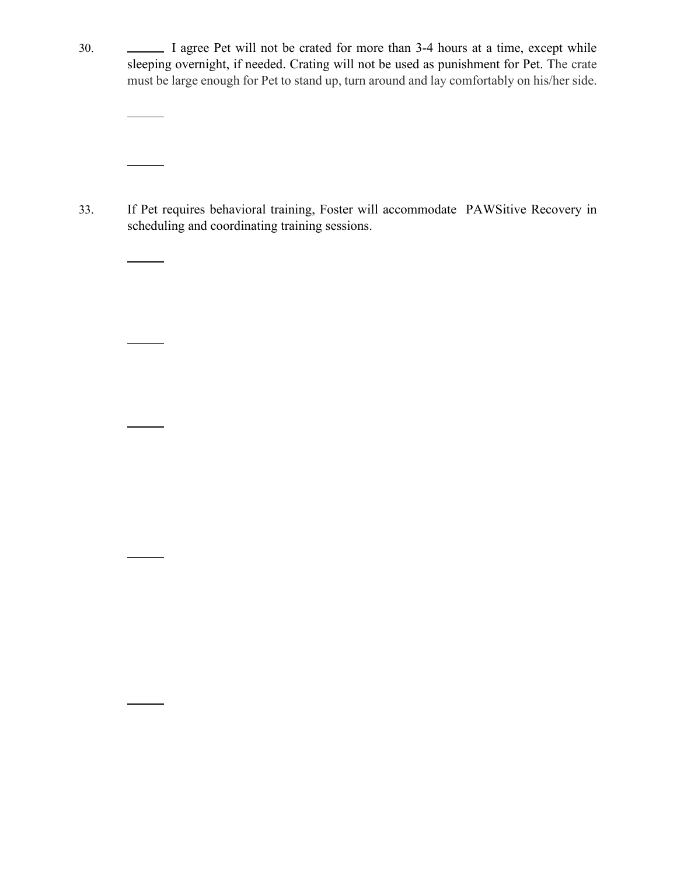30. I agree Pet will not be crated for more than 3-4 hours at a time, except while sleeping overnight, if needed. Crating will not be used as punishment for Pet. The crate must be large enough for Pet to stand up, turn around and lay comfortably on his/her side.

33. If Pet requires behavioral training, Foster will accommodate PAWSitive Recovery in scheduling and coordinating training sessions.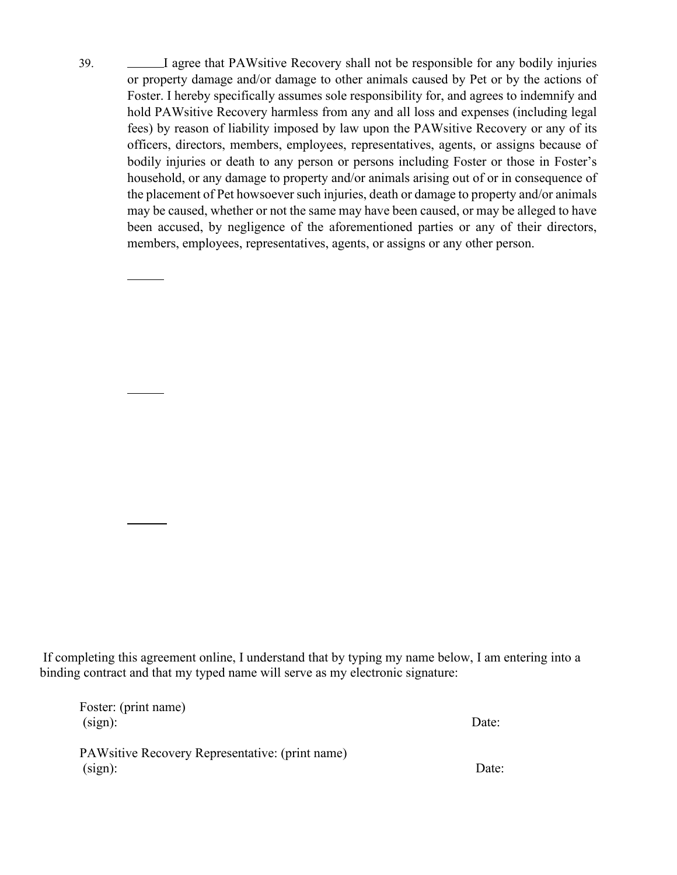39. I agree that PAWsitive Recovery shall not be responsible for any bodily injuries or property damage and/or damage to other animals caused by Pet or by the actions of Foster. I hereby specifically assumes sole responsibility for, and agrees to indemnify and hold PAWsitive Recovery harmless from any and all loss and expenses (including legal fees) by reason of liability imposed by law upon the PAWsitive Recovery or any of its officers, directors, members, employees, representatives, agents, or assigns because of bodily injuries or death to any person or persons including Foster or those in Foster's household, or any damage to property and/or animals arising out of or in consequence of the placement of Pet howsoever such injuries, death or damage to property and/or animals may be caused, whether or not the same may have been caused, or may be alleged to have been accused, by negligence of the aforementioned parties or any of their directors, members, employees, representatives, agents, or assigns or any other person.

 If completing this agreement online, I understand that by typing my name below, I am entering into a binding contract and that my typed name will serve as my electronic signature:

| Foster: (print name)<br>(sign):                             | Date: |
|-------------------------------------------------------------|-------|
| PAW sitive Recovery Representative: (print name)<br>(sign): | Date: |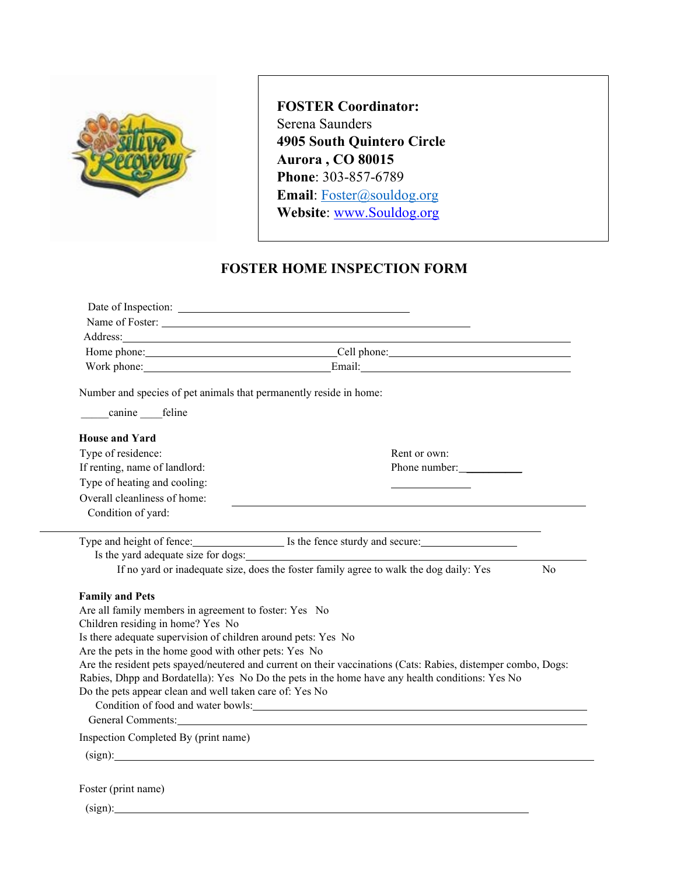

**FOSTER Coordinator:** Serena Saunders **4905 South Quintero Circle Aurora , CO 80015 Phone**: 303-857-6789 **Email**: **Foster***(a)* souldog.org **Website**: [www.Souldog.org](http://www.souldog.org/)

### **FOSTER HOME INSPECTION FORM**

| Address: <u>January Maria and Santa Carlo and Santa Carlo and Santa Carlo and Santa Carlo and Santa Carlo and Santa Carlo and Santa Carlo and Santa Carlo and Santa Carlo and Santa Carlo and Santa Carlo and Santa Carlo and Sa</u> |                                                                                                                                                                                                                                     |
|--------------------------------------------------------------------------------------------------------------------------------------------------------------------------------------------------------------------------------------|-------------------------------------------------------------------------------------------------------------------------------------------------------------------------------------------------------------------------------------|
|                                                                                                                                                                                                                                      | Work phone: Email: Email:                                                                                                                                                                                                           |
|                                                                                                                                                                                                                                      |                                                                                                                                                                                                                                     |
| Number and species of pet animals that permanently reside in home:                                                                                                                                                                   |                                                                                                                                                                                                                                     |
| canine feline                                                                                                                                                                                                                        |                                                                                                                                                                                                                                     |
| <b>House and Yard</b>                                                                                                                                                                                                                |                                                                                                                                                                                                                                     |
| Type of residence:                                                                                                                                                                                                                   | Rent or own:                                                                                                                                                                                                                        |
| If renting, name of landlord:                                                                                                                                                                                                        | Phone number:                                                                                                                                                                                                                       |
| Type of heating and cooling:                                                                                                                                                                                                         |                                                                                                                                                                                                                                     |
| Overall cleanliness of home:                                                                                                                                                                                                         |                                                                                                                                                                                                                                     |
| Condition of yard:                                                                                                                                                                                                                   |                                                                                                                                                                                                                                     |
|                                                                                                                                                                                                                                      | Type and height of fence: Is the fence sturdy and secure: Is the fence sturdy and secure:                                                                                                                                           |
| Is the yard adequate size for dogs:                                                                                                                                                                                                  |                                                                                                                                                                                                                                     |
|                                                                                                                                                                                                                                      | If no yard or inadequate size, does the foster family agree to walk the dog daily: Yes<br>No                                                                                                                                        |
| <b>Family and Pets</b>                                                                                                                                                                                                               |                                                                                                                                                                                                                                     |
| Are all family members in agreement to foster: Yes No                                                                                                                                                                                |                                                                                                                                                                                                                                     |
| Children residing in home? Yes No                                                                                                                                                                                                    |                                                                                                                                                                                                                                     |
| Is there adequate supervision of children around pets: Yes No<br>Are the pets in the home good with other pets: Yes No                                                                                                               |                                                                                                                                                                                                                                     |
|                                                                                                                                                                                                                                      | Are the resident pets spayed/neutered and current on their vaccinations (Cats: Rabies, distemper combo, Dogs:                                                                                                                       |
|                                                                                                                                                                                                                                      | Rabies, Dhpp and Bordatella): Yes No Do the pets in the home have any health conditions: Yes No                                                                                                                                     |
| Do the pets appear clean and well taken care of: Yes No                                                                                                                                                                              |                                                                                                                                                                                                                                     |
|                                                                                                                                                                                                                                      | Condition of food and water bowls: North Management of the state of the state of the state of the state of the state of the state of the state of the state of the state of the state of the state of the state of the state o      |
|                                                                                                                                                                                                                                      | General Comments: <u>Comments:</u> Comments: Comments: Comments: Comments: Comments: Comments: Comments: Comments: Comments: Comments: Comments: Comments: Comments: Comments: Comments: Comments: Comments: Comments: Comments: Co |
| Inspection Completed By (print name)                                                                                                                                                                                                 |                                                                                                                                                                                                                                     |
|                                                                                                                                                                                                                                      | (sign):                                                                                                                                                                                                                             |

 $(sign):$